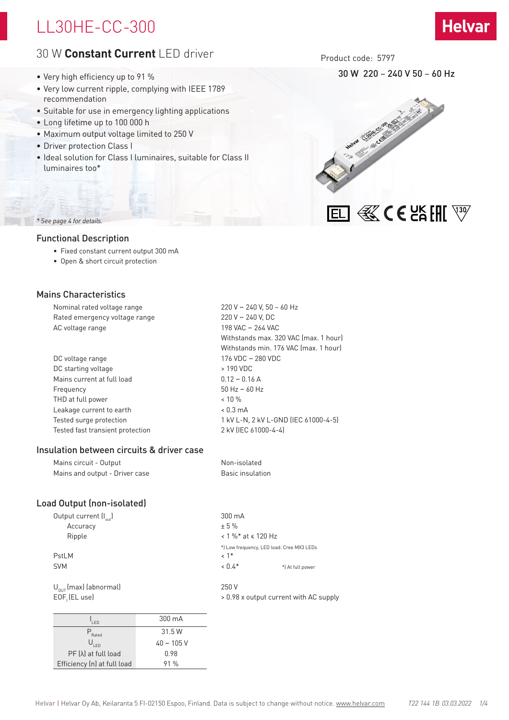# LL30HE-CC-300

# 30 W **Constant Current** LED driver

- Very high efficiency up to 91 %
- Very low current ripple, complying with IEEE 1789 recommendation
- Suitable for use in emergency lighting applications
- Long lifetime up to 100 000 h
- Maximum output voltage limited to 250 V
- Driver protection Class I
- Ideal solution for Class I luminaires, suitable for Class II luminaires too\*

Product code: 5797

30 W 220 – 240 V 50 – 60 Hz



## *\* See page 4 for details.*

### Functional Description

- Fixed constant current output 300 mA
- Open & short circuit protection

## Mains Characteristics

Nominal rated voltage range 220 V – 240 V, 50 – 60 Hz Rated emergency voltage range 220 V – 240 V, DC AC voltage range 198 VAC – 264 VAC

| DC voltage range                 | 176 VDC - 280 VDC    |
|----------------------------------|----------------------|
| DC starting voltage              | > 190 VDC            |
| Mains current at full load       | $0.12 - 0.16$ A      |
| Frequency                        | $50$ Hz $-60$ Hz     |
| THD at full power                | $< 10 \%$            |
| Leakage current to earth         | $< 0.3 \text{ mA}$   |
| Tested surge protection          | 1 kV L-N, 2 kV L-GN  |
| Tested fast transient protection | 2 kV (IEC 61000-4-4) |
|                                  |                      |

### Insulation between circuits & driver case

 $PF(\lambda)$  at full load 0.98 Efficiency (n) at full load 91 %

Mains circuit - Output Non-isolated Mains and output - Driver case Basic insulation

# Load Output (non-isolated)

| Output current $\left(I_{out}\right)$ |              | 300 mA                     |                                           |
|---------------------------------------|--------------|----------------------------|-------------------------------------------|
| Accuracy                              |              | ± 5%                       |                                           |
| Ripple                                |              | $< 1 \%$ * at $\le 120$ Hz |                                           |
|                                       |              |                            | *) Low frequency, LED load: Cree MX3 LEDs |
| PstLM                                 |              | $1*$                       |                                           |
| <b>SVM</b>                            |              | $< 0.4*$                   | *) At full power                          |
| $U_{\text{out}}$ (max) (abnormal)     |              | 250 V                      |                                           |
| $EOF$ <sub>,</sub> $E$ <i>L</i> use)  |              |                            | > 0.98 x output current with AC supply    |
|                                       |              |                            |                                           |
| LED                                   | 300 mA       |                            |                                           |
| $P_{\text{Rated}}$                    | 31.5 W       |                            |                                           |
| $U_{\text{LED}}$                      | $40 - 105$ V |                            |                                           |

 Withstands max. 320 VAC (max. 1 hour) Withstands min. 176 VAC (max. 1 hour) -GND (IEC 61000-4-5)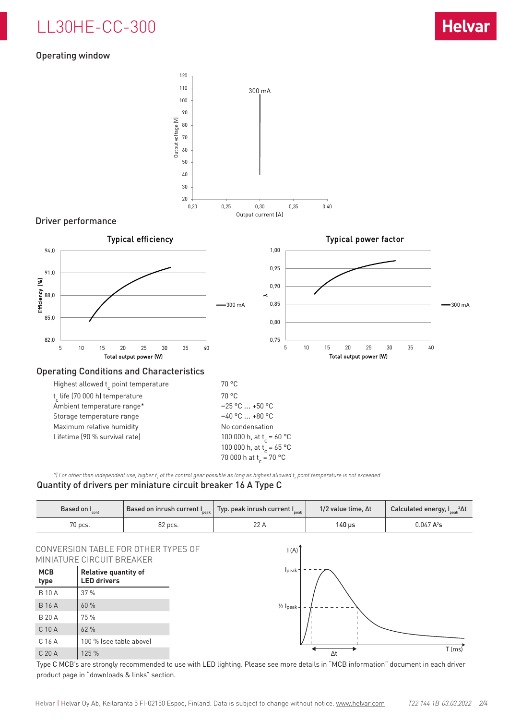# LL30HE-CC-300

# Operating window



## Driver performance



\*) For other than independent use, higher t<sub>a</sub> of the control gear possible as long as highest allowed t<sub>c</sub> point temperature is not exceeded

# Quantity of drivers per miniature circuit breaker 16 A Type C

| Based on I <sub>cont</sub> |         | Based on inrush current I $_{\tiny{\sf peak}}\, \,$ Typ. peak inrush current I $_{\tiny{\sf peak}}\, \,$ | 1/2 value time, $\Delta t$ | Calculated energy, $I_{peak}^2\Delta t$ |
|----------------------------|---------|----------------------------------------------------------------------------------------------------------|----------------------------|-----------------------------------------|
| 70 pcs.                    | 82 pcs. |                                                                                                          | 140 us                     | $0.047 A^2s$                            |

## CONVERSION TABLE FOR OTHER TYPES OF MINIATURE CIRCUIT BREAKER

| MCB<br>type       | <b>Relative quantity of</b><br><b>LED drivers</b> |
|-------------------|---------------------------------------------------|
| <b>B</b> 10 A     | 37%                                               |
| <b>B16A</b>       | 60 %                                              |
| <b>B 20 A</b>     | 75 %                                              |
| $C$ 10 A          | 62%                                               |
| C 16 A            | 100 % (see table above)                           |
| C <sub>20</sub> A | 125 %                                             |



Type C MCB's are strongly recommended to use with LED lighting. Please see more details in "MCB information" document in each driver product page in "downloads & links" section.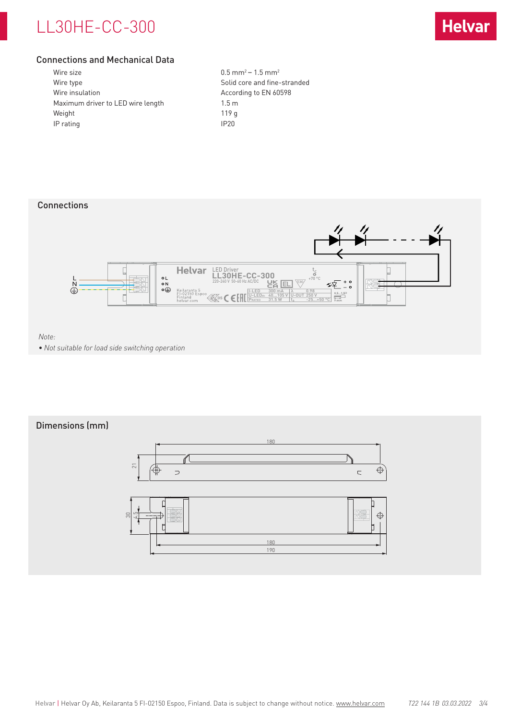# LL30HE-CC-300



# Connections and Mechanical Data

| Wire size                         | 0.5 <sub>m</sub> |
|-----------------------------------|------------------|
| Wire type                         | Solid            |
| Wire insulation                   | Accor            |
| Maximum driver to LED wire length | $1.5 \text{ m}$  |
| Weight                            | 119 g            |
| IP rating                         | IP20             |
|                                   |                  |

 $0.5$  mm<sup>2</sup> – 1.5 mm<sup>2</sup> Solid core and fine-stranded According to EN 60598  $1.5<sub>m</sub>$ 

# Connections



*Note:* 

*• Not suitable for load side switching operation*

# Dimensions (mm)